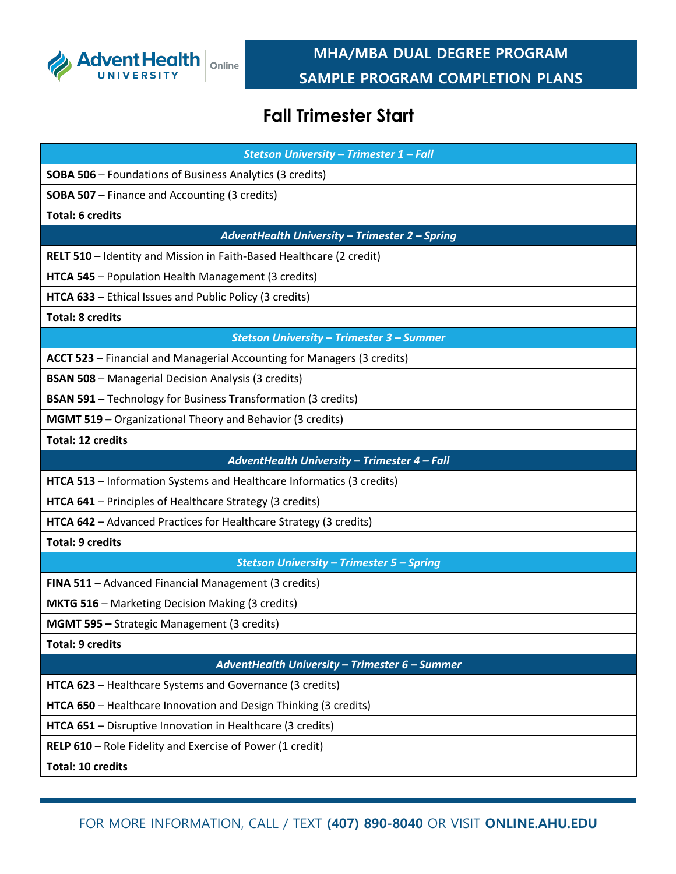

## **MHA/MBA DUAL DEGREE PROGRAM SAMPLE PROGRAM COMPLETION PLANS**

## **Fall Trimester Start**

| Stetson University - Trimester 1 - Fall                                 |
|-------------------------------------------------------------------------|
| <b>SOBA 506</b> - Foundations of Business Analytics (3 credits)         |
| <b>SOBA 507</b> - Finance and Accounting (3 credits)                    |
| <b>Total: 6 credits</b>                                                 |
| AdventHealth University - Trimester 2 - Spring                          |
| RELT 510 - Identity and Mission in Faith-Based Healthcare (2 credit)    |
| HTCA 545 - Population Health Management (3 credits)                     |
| HTCA 633 - Ethical Issues and Public Policy (3 credits)                 |
| <b>Total: 8 credits</b>                                                 |
| Stetson University - Trimester 3 - Summer                               |
| ACCT 523 - Financial and Managerial Accounting for Managers (3 credits) |
| <b>BSAN 508</b> - Managerial Decision Analysis (3 credits)              |
| <b>BSAN 591 - Technology for Business Transformation (3 credits)</b>    |
| MGMT 519 - Organizational Theory and Behavior (3 credits)               |
| <b>Total: 12 credits</b>                                                |
| AdventHealth University - Trimester 4 - Fall                            |
| HTCA 513 - Information Systems and Healthcare Informatics (3 credits)   |
| HTCA 641 - Principles of Healthcare Strategy (3 credits)                |
| HTCA 642 - Advanced Practices for Healthcare Strategy (3 credits)       |
| <b>Total: 9 credits</b>                                                 |
| <b>Stetson University - Trimester 5 - Spring</b>                        |
| FINA 511 - Advanced Financial Management (3 credits)                    |
| <b>MKTG 516</b> - Marketing Decision Making (3 credits)                 |
| MGMT 595 - Strategic Management (3 credits)                             |
| <b>Total: 9 credits</b>                                                 |
| AdventHealth University - Trimester 6 - Summer                          |
| HTCA 623 - Healthcare Systems and Governance (3 credits)                |
| HTCA 650 - Healthcare Innovation and Design Thinking (3 credits)        |
| HTCA 651 - Disruptive Innovation in Healthcare (3 credits)              |
| RELP 610 - Role Fidelity and Exercise of Power (1 credit)               |
| <b>Total: 10 credits</b>                                                |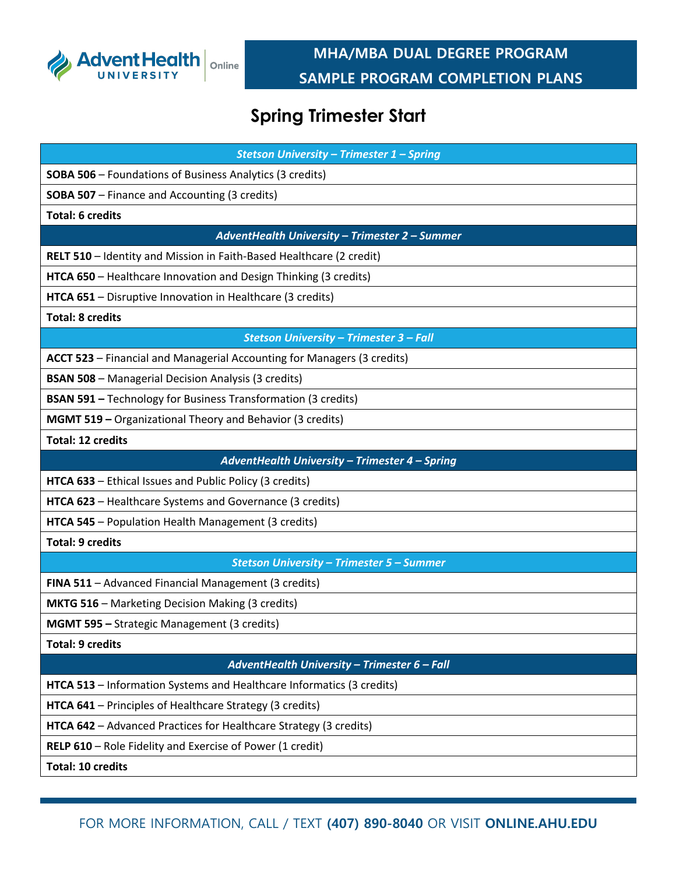

### **MHA/MBA DUAL DEGREE PROGRAM SAMPLE PROGRAM COMPLETION PLANS**

# **Spring Trimester Start**

| Stetson University - Trimester 1 - Spring                               |
|-------------------------------------------------------------------------|
| <b>SOBA 506</b> - Foundations of Business Analytics (3 credits)         |
| <b>SOBA 507</b> - Finance and Accounting (3 credits)                    |
| <b>Total: 6 credits</b>                                                 |
| AdventHealth University - Trimester 2 - Summer                          |
| RELT 510 - Identity and Mission in Faith-Based Healthcare (2 credit)    |
| HTCA 650 - Healthcare Innovation and Design Thinking (3 credits)        |
| HTCA 651 - Disruptive Innovation in Healthcare (3 credits)              |
| <b>Total: 8 credits</b>                                                 |
| Stetson University - Trimester 3 - Fall                                 |
| ACCT 523 - Financial and Managerial Accounting for Managers (3 credits) |
| <b>BSAN 508</b> - Managerial Decision Analysis (3 credits)              |
| <b>BSAN 591 - Technology for Business Transformation (3 credits)</b>    |
| <b>MGMT 519 - Organizational Theory and Behavior (3 credits)</b>        |
| <b>Total: 12 credits</b>                                                |
| AdventHealth University - Trimester 4 - Spring                          |
| HTCA 633 - Ethical Issues and Public Policy (3 credits)                 |
| HTCA 623 - Healthcare Systems and Governance (3 credits)                |
| HTCA 545 - Population Health Management (3 credits)                     |
| <b>Total: 9 credits</b>                                                 |
| <b>Stetson University - Trimester 5 - Summer</b>                        |
| FINA 511 - Advanced Financial Management (3 credits)                    |
| <b>MKTG 516</b> - Marketing Decision Making (3 credits)                 |
| MGMT 595 - Strategic Management (3 credits)                             |
| <b>Total: 9 credits</b>                                                 |
| AdventHealth University - Trimester 6 - Fall                            |
| HTCA 513 - Information Systems and Healthcare Informatics (3 credits)   |
| HTCA 641 - Principles of Healthcare Strategy (3 credits)                |
| HTCA 642 - Advanced Practices for Healthcare Strategy (3 credits)       |
| RELP 610 - Role Fidelity and Exercise of Power (1 credit)               |
| <b>Total: 10 credits</b>                                                |